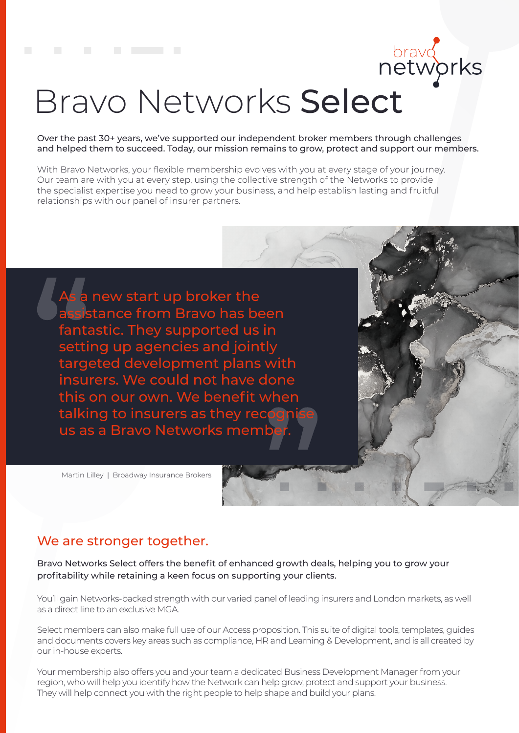brayd<br>networks

# Bravo Networks Select

Over the past 30+ years, we've supported our independent broker members through challenges and helped them to succeed. Today, our mission remains to grow, protect and support our members.

With Bravo Networks, your flexible membership evolves with you at every stage of your journey. Our team are with you at every step, using the collective strength of the Networks to provide the specialist expertise you need to grow your business, and help establish lasting and fruitful relationships with our panel of insurer partners.

new start up broker the stance from Bravo has been fantastic. They supported us in setting up agencies and jointly targeted development plans with insurers. We could not have done this on our own. We benefit when talking to insurers as they reco us as a Bravo Networks meml

Martin Lilley | Broadway Insurance Brokers

#### We are stronger together.

Bravo Networks Select offers the benefit of enhanced growth deals, helping you to grow your profitability while retaining a keen focus on supporting your clients.

You'll gain Networks-backed strength with our varied panel of leading insurers and London markets, as well as a direct line to an exclusive MGA.

Select members can also make full use of our Access proposition. This suite of digital tools, templates, guides and documents covers key areas such as compliance, HR and Learning & Development, and is all created by our in-house experts.

Your membership also offers you and your team a dedicated Business Development Manager from your region, who will help you identify how the Network can help grow, protect and support your business. They will help connect you with the right people to help shape and build your plans.